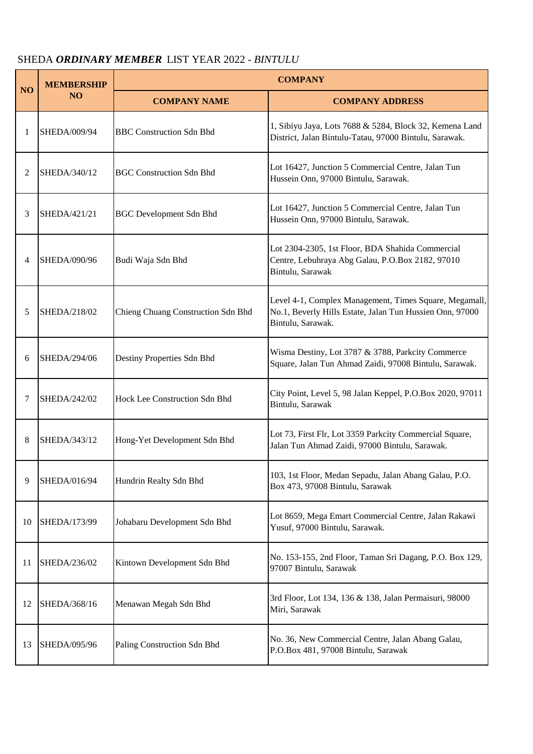## SHEDA *ORDINARY MEMBER* LIST YEAR 2022 - *BINTULU*

|           | <b>MEMBERSHIP</b><br><b>NO</b> | <b>COMPANY</b>                     |                                                                                                                                         |
|-----------|--------------------------------|------------------------------------|-----------------------------------------------------------------------------------------------------------------------------------------|
| <b>NO</b> |                                | <b>COMPANY NAME</b>                | <b>COMPANY ADDRESS</b>                                                                                                                  |
| 1         | SHEDA/009/94                   | <b>BBC</b> Construction Sdn Bhd    | 1, Sibiyu Jaya, Lots 7688 & 5284, Block 32, Kemena Land<br>District, Jalan Bintulu-Tatau, 97000 Bintulu, Sarawak.                       |
| 2         | SHEDA/340/12                   | <b>BGC Construction Sdn Bhd</b>    | Lot 16427, Junction 5 Commercial Centre, Jalan Tun<br>Hussein Onn, 97000 Bintulu, Sarawak.                                              |
| 3         | SHEDA/421/21                   | <b>BGC</b> Development Sdn Bhd     | Lot 16427, Junction 5 Commercial Centre, Jalan Tun<br>Hussein Onn, 97000 Bintulu, Sarawak.                                              |
| 4         | SHEDA/090/96                   | Budi Waja Sdn Bhd                  | Lot 2304-2305, 1st Floor, BDA Shahida Commercial<br>Centre, Lebuhraya Abg Galau, P.O.Box 2182, 97010<br>Bintulu, Sarawak                |
| 5         | SHEDA/218/02                   | Chieng Chuang Construction Sdn Bhd | Level 4-1, Complex Management, Times Square, Megamall,<br>No.1, Beverly Hills Estate, Jalan Tun Hussien Onn, 97000<br>Bintulu, Sarawak. |
| 6         | SHEDA/294/06                   | Destiny Properties Sdn Bhd         | Wisma Destiny, Lot 3787 & 3788, Parkcity Commerce<br>Square, Jalan Tun Ahmad Zaidi, 97008 Bintulu, Sarawak.                             |
| 7         | SHEDA/242/02                   | Hock Lee Construction Sdn Bhd      | City Point, Level 5, 98 Jalan Keppel, P.O.Box 2020, 97011<br>Bintulu, Sarawak                                                           |
| 8         | SHEDA/343/12                   | Hong-Yet Development Sdn Bhd       | Lot 73, First Flr, Lot 3359 Parkcity Commercial Square,<br>Jalan Tun Ahmad Zaidi, 97000 Bintulu, Sarawak.                               |
| 9         | SHEDA/016/94                   | Hundrin Realty Sdn Bhd             | 103, 1st Floor, Medan Sepadu, Jalan Abang Galau, P.O.<br>Box 473, 97008 Bintulu, Sarawak                                                |
| 10        | SHEDA/173/99                   | Johabaru Development Sdn Bhd       | Lot 8659, Mega Emart Commercial Centre, Jalan Rakawi<br>Yusuf, 97000 Bintulu, Sarawak.                                                  |
| 11        | SHEDA/236/02                   | Kintown Development Sdn Bhd        | No. 153-155, 2nd Floor, Taman Sri Dagang, P.O. Box 129,<br>97007 Bintulu, Sarawak                                                       |
| 12        | SHEDA/368/16                   | Menawan Megah Sdn Bhd              | 3rd Floor, Lot 134, 136 & 138, Jalan Permaisuri, 98000<br>Miri, Sarawak                                                                 |
| 13        | SHEDA/095/96                   | Paling Construction Sdn Bhd        | No. 36, New Commercial Centre, Jalan Abang Galau,<br>P.O.Box 481, 97008 Bintulu, Sarawak                                                |